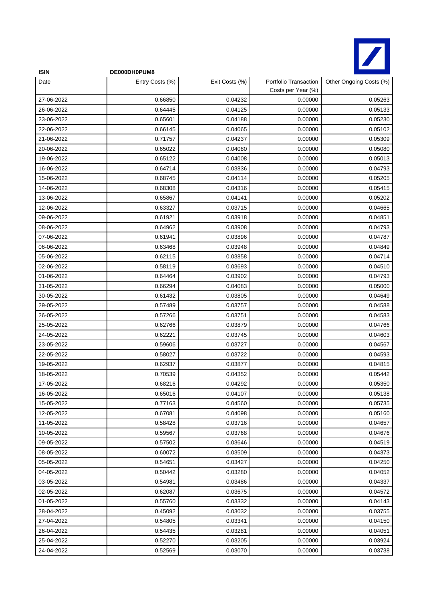

| <b>ISIN</b> | DE000DH0PUM8    |                |                                             |                         |
|-------------|-----------------|----------------|---------------------------------------------|-------------------------|
| Date        | Entry Costs (%) | Exit Costs (%) | Portfolio Transaction<br>Costs per Year (%) | Other Ongoing Costs (%) |
| 27-06-2022  | 0.66850         | 0.04232        | 0.00000                                     | 0.05263                 |
| 26-06-2022  | 0.64445         | 0.04125        | 0.00000                                     | 0.05133                 |
| 23-06-2022  | 0.65601         | 0.04188        | 0.00000                                     | 0.05230                 |
| 22-06-2022  | 0.66145         | 0.04065        | 0.00000                                     | 0.05102                 |
| 21-06-2022  | 0.71757         | 0.04237        | 0.00000                                     | 0.05309                 |
| 20-06-2022  | 0.65022         | 0.04080        | 0.00000                                     | 0.05080                 |
| 19-06-2022  | 0.65122         | 0.04008        | 0.00000                                     | 0.05013                 |
| 16-06-2022  | 0.64714         | 0.03836        | 0.00000                                     | 0.04793                 |
| 15-06-2022  | 0.68745         | 0.04114        | 0.00000                                     | 0.05205                 |
| 14-06-2022  | 0.68308         | 0.04316        | 0.00000                                     | 0.05415                 |
| 13-06-2022  | 0.65867         | 0.04141        | 0.00000                                     | 0.05202                 |
| 12-06-2022  | 0.63327         | 0.03715        | 0.00000                                     | 0.04665                 |
| 09-06-2022  | 0.61921         | 0.03918        | 0.00000                                     | 0.04851                 |
| 08-06-2022  | 0.64962         | 0.03908        | 0.00000                                     | 0.04793                 |
| 07-06-2022  | 0.61941         | 0.03896        | 0.00000                                     | 0.04787                 |
| 06-06-2022  | 0.63468         | 0.03948        | 0.00000                                     | 0.04849                 |
| 05-06-2022  | 0.62115         | 0.03858        | 0.00000                                     | 0.04714                 |
| 02-06-2022  | 0.58119         | 0.03693        | 0.00000                                     | 0.04510                 |
| 01-06-2022  | 0.64464         | 0.03902        | 0.00000                                     | 0.04793                 |
| 31-05-2022  | 0.66294         | 0.04083        | 0.00000                                     | 0.05000                 |
| 30-05-2022  | 0.61432         | 0.03805        | 0.00000                                     | 0.04649                 |
| 29-05-2022  | 0.57489         | 0.03757        | 0.00000                                     | 0.04588                 |
| 26-05-2022  | 0.57266         | 0.03751        | 0.00000                                     | 0.04583                 |
| 25-05-2022  | 0.62766         | 0.03879        | 0.00000                                     | 0.04766                 |
| 24-05-2022  | 0.62221         | 0.03745        | 0.00000                                     | 0.04603                 |
| 23-05-2022  | 0.59606         | 0.03727        | 0.00000                                     | 0.04567                 |
| 22-05-2022  | 0.58027         | 0.03722        | 0.00000                                     | 0.04593                 |
| 19-05-2022  | 0.62937         | 0.03877        | 0.00000                                     | 0.04815                 |
| 18-05-2022  | 0.70539         | 0.04352        | 0.00000                                     | 0.05442                 |
| 17-05-2022  | 0.68216         | 0.04292        | 0.00000                                     | 0.05350                 |
| 16-05-2022  | 0.65016         | 0.04107        | 0.00000                                     | 0.05138                 |
| 15-05-2022  | 0.77163         | 0.04560        | 0.00000                                     | 0.05735                 |
| 12-05-2022  | 0.67081         | 0.04098        | 0.00000                                     | 0.05160                 |
| 11-05-2022  | 0.58428         | 0.03716        | 0.00000                                     | 0.04657                 |
| 10-05-2022  | 0.59567         | 0.03768        | 0.00000                                     | 0.04676                 |
| 09-05-2022  | 0.57502         | 0.03646        | 0.00000                                     | 0.04519                 |
| 08-05-2022  | 0.60072         | 0.03509        | 0.00000                                     | 0.04373                 |
| 05-05-2022  | 0.54651         | 0.03427        | 0.00000                                     | 0.04250                 |
| 04-05-2022  | 0.50442         | 0.03280        | 0.00000                                     | 0.04052                 |
| 03-05-2022  | 0.54981         | 0.03486        | 0.00000                                     | 0.04337                 |
| 02-05-2022  | 0.62087         | 0.03675        | 0.00000                                     | 0.04572                 |
| 01-05-2022  | 0.55760         | 0.03332        | 0.00000                                     | 0.04143                 |
| 28-04-2022  | 0.45092         | 0.03032        | 0.00000                                     | 0.03755                 |
| 27-04-2022  | 0.54805         | 0.03341        | 0.00000                                     | 0.04150                 |
| 26-04-2022  | 0.54435         | 0.03281        | 0.00000                                     | 0.04051                 |
| 25-04-2022  | 0.52270         | 0.03205        | 0.00000                                     | 0.03924                 |
| 24-04-2022  | 0.52569         | 0.03070        | 0.00000                                     | 0.03738                 |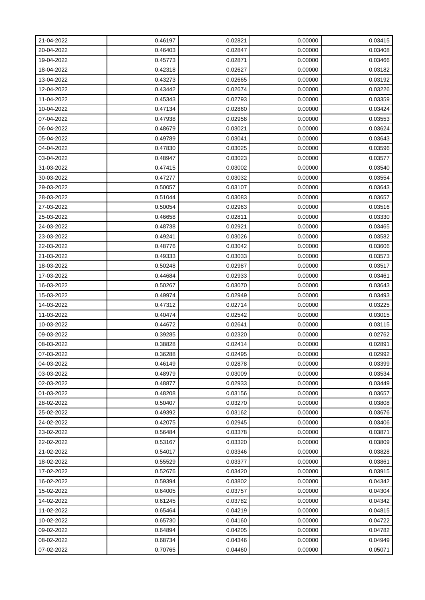| 21-04-2022 | 0.46197 | 0.02821 | 0.00000 | 0.03415 |
|------------|---------|---------|---------|---------|
| 20-04-2022 | 0.46403 | 0.02847 | 0.00000 | 0.03408 |
| 19-04-2022 | 0.45773 | 0.02871 | 0.00000 | 0.03466 |
| 18-04-2022 | 0.42318 | 0.02627 | 0.00000 | 0.03182 |
| 13-04-2022 | 0.43273 | 0.02665 | 0.00000 | 0.03192 |
| 12-04-2022 | 0.43442 | 0.02674 | 0.00000 | 0.03226 |
| 11-04-2022 | 0.45343 | 0.02793 | 0.00000 | 0.03359 |
| 10-04-2022 | 0.47134 | 0.02860 | 0.00000 | 0.03424 |
| 07-04-2022 | 0.47938 | 0.02958 | 0.00000 | 0.03553 |
| 06-04-2022 | 0.48679 | 0.03021 | 0.00000 | 0.03624 |
| 05-04-2022 | 0.49789 | 0.03041 | 0.00000 | 0.03643 |
| 04-04-2022 | 0.47830 | 0.03025 | 0.00000 | 0.03596 |
| 03-04-2022 | 0.48947 | 0.03023 | 0.00000 | 0.03577 |
| 31-03-2022 | 0.47415 | 0.03002 | 0.00000 | 0.03540 |
| 30-03-2022 | 0.47277 | 0.03032 | 0.00000 | 0.03554 |
| 29-03-2022 | 0.50057 | 0.03107 | 0.00000 | 0.03643 |
| 28-03-2022 | 0.51044 | 0.03083 | 0.00000 | 0.03657 |
| 27-03-2022 | 0.50054 | 0.02963 | 0.00000 | 0.03516 |
| 25-03-2022 | 0.46658 | 0.02811 | 0.00000 | 0.03330 |
| 24-03-2022 | 0.48738 | 0.02921 | 0.00000 | 0.03465 |
| 23-03-2022 | 0.49241 | 0.03026 | 0.00000 | 0.03582 |
| 22-03-2022 | 0.48776 | 0.03042 | 0.00000 | 0.03606 |
| 21-03-2022 | 0.49333 | 0.03033 | 0.00000 | 0.03573 |
| 18-03-2022 | 0.50248 | 0.02987 | 0.00000 | 0.03517 |
| 17-03-2022 | 0.44684 | 0.02933 | 0.00000 | 0.03461 |
| 16-03-2022 | 0.50267 | 0.03070 | 0.00000 | 0.03643 |
| 15-03-2022 | 0.49974 | 0.02949 | 0.00000 | 0.03493 |
| 14-03-2022 | 0.47312 | 0.02714 | 0.00000 | 0.03225 |
| 11-03-2022 | 0.40474 | 0.02542 | 0.00000 | 0.03015 |
| 10-03-2022 | 0.44672 | 0.02641 | 0.00000 | 0.03115 |
| 09-03-2022 | 0.39285 | 0.02320 | 0.00000 | 0.02762 |
| 08-03-2022 | 0.38828 | 0.02414 | 0.00000 | 0.02891 |
| 07-03-2022 | 0.36288 | 0.02495 | 0.00000 | 0.02992 |
| 04-03-2022 | 0.46149 | 0.02878 | 0.00000 | 0.03399 |
| 03-03-2022 | 0.48979 | 0.03009 | 0.00000 | 0.03534 |
| 02-03-2022 | 0.48877 | 0.02933 | 0.00000 | 0.03449 |
| 01-03-2022 | 0.48208 | 0.03156 | 0.00000 | 0.03657 |
| 28-02-2022 | 0.50407 | 0.03270 | 0.00000 | 0.03808 |
| 25-02-2022 | 0.49392 | 0.03162 | 0.00000 | 0.03676 |
| 24-02-2022 | 0.42075 | 0.02945 | 0.00000 | 0.03406 |
| 23-02-2022 | 0.56484 | 0.03378 | 0.00000 | 0.03871 |
| 22-02-2022 | 0.53167 | 0.03320 | 0.00000 | 0.03809 |
| 21-02-2022 | 0.54017 | 0.03346 | 0.00000 | 0.03828 |
| 18-02-2022 | 0.55529 | 0.03377 | 0.00000 | 0.03861 |
| 17-02-2022 | 0.52676 | 0.03420 | 0.00000 | 0.03915 |
| 16-02-2022 | 0.59394 | 0.03802 | 0.00000 | 0.04342 |
| 15-02-2022 | 0.64005 | 0.03757 | 0.00000 | 0.04304 |
| 14-02-2022 | 0.61245 | 0.03782 | 0.00000 | 0.04342 |
| 11-02-2022 | 0.65464 | 0.04219 | 0.00000 | 0.04815 |
| 10-02-2022 | 0.65730 | 0.04160 | 0.00000 | 0.04722 |
| 09-02-2022 | 0.64894 | 0.04205 | 0.00000 | 0.04782 |
| 08-02-2022 | 0.68734 | 0.04346 | 0.00000 | 0.04949 |
| 07-02-2022 | 0.70765 | 0.04460 | 0.00000 | 0.05071 |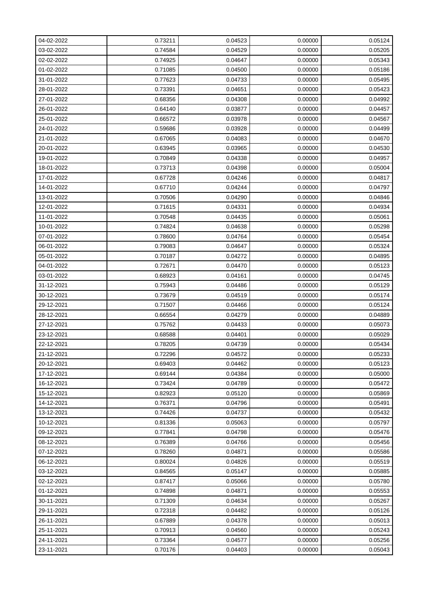| 04-02-2022 | 0.73211 | 0.04523 | 0.00000 | 0.05124 |
|------------|---------|---------|---------|---------|
| 03-02-2022 | 0.74584 | 0.04529 | 0.00000 | 0.05205 |
| 02-02-2022 | 0.74925 | 0.04647 | 0.00000 | 0.05343 |
| 01-02-2022 | 0.71085 | 0.04500 | 0.00000 | 0.05186 |
| 31-01-2022 | 0.77623 | 0.04733 | 0.00000 | 0.05495 |
| 28-01-2022 | 0.73391 | 0.04651 | 0.00000 | 0.05423 |
| 27-01-2022 | 0.68356 | 0.04308 | 0.00000 | 0.04992 |
| 26-01-2022 | 0.64140 | 0.03877 | 0.00000 | 0.04457 |
| 25-01-2022 | 0.66572 | 0.03978 | 0.00000 | 0.04567 |
| 24-01-2022 | 0.59686 | 0.03928 | 0.00000 | 0.04499 |
| 21-01-2022 | 0.67065 | 0.04083 | 0.00000 | 0.04670 |
| 20-01-2022 | 0.63945 | 0.03965 | 0.00000 | 0.04530 |
| 19-01-2022 | 0.70849 | 0.04338 | 0.00000 | 0.04957 |
| 18-01-2022 | 0.73713 | 0.04398 | 0.00000 | 0.05004 |
| 17-01-2022 | 0.67728 | 0.04246 | 0.00000 | 0.04817 |
| 14-01-2022 | 0.67710 | 0.04244 | 0.00000 | 0.04797 |
| 13-01-2022 | 0.70506 | 0.04290 | 0.00000 | 0.04846 |
| 12-01-2022 | 0.71615 | 0.04331 | 0.00000 | 0.04934 |
| 11-01-2022 | 0.70548 | 0.04435 | 0.00000 | 0.05061 |
| 10-01-2022 | 0.74824 | 0.04638 | 0.00000 | 0.05298 |
| 07-01-2022 | 0.78600 | 0.04764 | 0.00000 | 0.05454 |
| 06-01-2022 | 0.79083 | 0.04647 | 0.00000 | 0.05324 |
| 05-01-2022 | 0.70187 | 0.04272 | 0.00000 | 0.04895 |
| 04-01-2022 | 0.72671 | 0.04470 | 0.00000 | 0.05123 |
| 03-01-2022 | 0.68923 | 0.04161 | 0.00000 | 0.04745 |
| 31-12-2021 | 0.75943 | 0.04486 | 0.00000 | 0.05129 |
| 30-12-2021 | 0.73679 | 0.04519 | 0.00000 | 0.05174 |
| 29-12-2021 | 0.71507 | 0.04466 | 0.00000 | 0.05124 |
| 28-12-2021 | 0.66554 | 0.04279 | 0.00000 | 0.04889 |
| 27-12-2021 | 0.75762 | 0.04433 | 0.00000 | 0.05073 |
| 23-12-2021 | 0.68588 | 0.04401 | 0.00000 | 0.05029 |
| 22-12-2021 | 0.78205 | 0.04739 | 0.00000 | 0.05434 |
| 21-12-2021 | 0.72296 | 0.04572 | 0.00000 | 0.05233 |
| 20-12-2021 | 0.69403 | 0.04462 | 0.00000 | 0.05123 |
| 17-12-2021 | 0.69144 | 0.04384 | 0.00000 | 0.05000 |
| 16-12-2021 | 0.73424 | 0.04789 | 0.00000 | 0.05472 |
| 15-12-2021 | 0.82923 | 0.05120 | 0.00000 | 0.05869 |
| 14-12-2021 | 0.76371 | 0.04796 | 0.00000 | 0.05491 |
| 13-12-2021 | 0.74426 | 0.04737 | 0.00000 | 0.05432 |
| 10-12-2021 | 0.81336 | 0.05063 | 0.00000 | 0.05797 |
| 09-12-2021 | 0.77841 | 0.04798 | 0.00000 | 0.05476 |
| 08-12-2021 | 0.76389 | 0.04766 | 0.00000 | 0.05456 |
| 07-12-2021 | 0.78260 | 0.04871 | 0.00000 | 0.05586 |
| 06-12-2021 | 0.80024 | 0.04826 | 0.00000 | 0.05519 |
| 03-12-2021 | 0.84565 | 0.05147 | 0.00000 | 0.05885 |
| 02-12-2021 | 0.87417 | 0.05066 | 0.00000 | 0.05780 |
| 01-12-2021 | 0.74898 | 0.04871 | 0.00000 | 0.05553 |
| 30-11-2021 | 0.71309 | 0.04634 | 0.00000 | 0.05267 |
| 29-11-2021 | 0.72318 | 0.04482 | 0.00000 | 0.05126 |
| 26-11-2021 | 0.67889 | 0.04378 | 0.00000 | 0.05013 |
| 25-11-2021 | 0.70913 | 0.04560 | 0.00000 | 0.05243 |
| 24-11-2021 | 0.73364 | 0.04577 | 0.00000 | 0.05256 |
| 23-11-2021 | 0.70176 | 0.04403 | 0.00000 | 0.05043 |